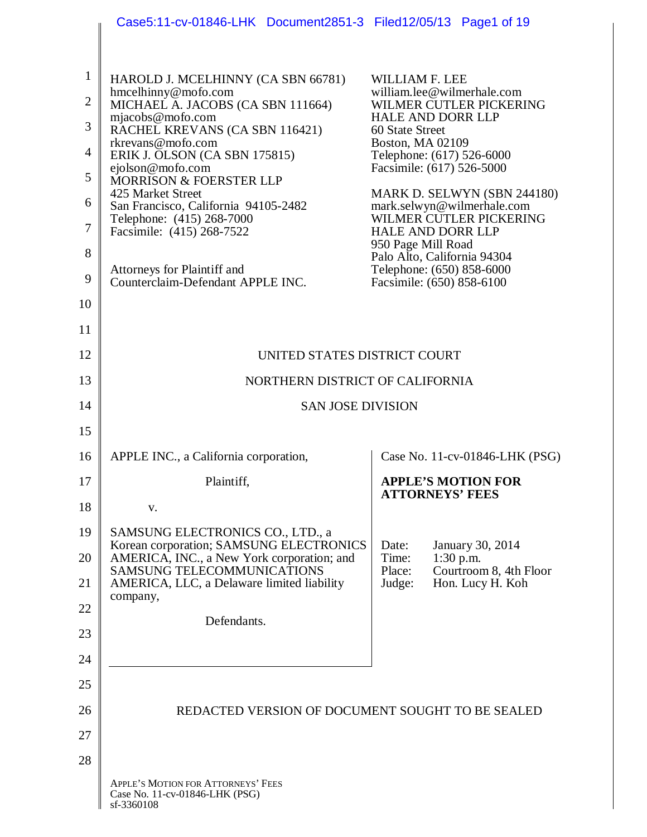|                | Case5:11-cv-01846-LHK Document2851-3 Filed12/05/13 Page1 of 19                     |                                                        |  |                                                           |  |  |
|----------------|------------------------------------------------------------------------------------|--------------------------------------------------------|--|-----------------------------------------------------------|--|--|
|                |                                                                                    |                                                        |  |                                                           |  |  |
| $\mathbf{1}$   | HAROLD J. MCELHINNY (CA SBN 66781)                                                 | WILLIAM F. LEE                                         |  |                                                           |  |  |
| $\overline{2}$ | hmcelhinny@mofo.com<br>MICHAEL A. JACOBS (CA SBN 111664)                           |                                                        |  | william.lee@wilmerhale.com<br>WILMER CUTLER PICKERING     |  |  |
| 3              | mjacobs@mofo.com<br>RACHEL KREVANS (CA SBN 116421)                                 | <b>HALE AND DORR LLP</b><br>60 State Street            |  |                                                           |  |  |
| $\overline{4}$ | rkrevans@mofo.com<br>ERIK J. OLSON (CA SBN 175815)                                 | <b>Boston, MA 02109</b><br>Telephone: (617) 526-6000   |  |                                                           |  |  |
| 5              | ejolson@mofo.com<br>MORRISON & FOERSTER LLP                                        | Facsimile: (617) 526-5000                              |  |                                                           |  |  |
| 6              | 425 Market Street<br>San Francisco, California 94105-2482                          |                                                        |  | MARK D. SELWYN (SBN 244180)<br>mark.selwyn@wilmerhale.com |  |  |
| $\tau$         | Telephone: (415) 268-7000<br>Facsimile: (415) 268-7522                             | <b>HALE AND DORR LLP</b>                               |  | WILMER CUTLER PICKERING                                   |  |  |
| 8              |                                                                                    | 950 Page Mill Road<br>Palo Alto, California 94304      |  |                                                           |  |  |
| 9              | Attorneys for Plaintiff and<br>Counterclaim-Defendant APPLE INC.                   | Telephone: (650) 858-6000<br>Facsimile: (650) 858-6100 |  |                                                           |  |  |
| 10             |                                                                                    |                                                        |  |                                                           |  |  |
| 11             |                                                                                    |                                                        |  |                                                           |  |  |
| 12             | UNITED STATES DISTRICT COURT                                                       |                                                        |  |                                                           |  |  |
| 13             | NORTHERN DISTRICT OF CALIFORNIA                                                    |                                                        |  |                                                           |  |  |
| 14             | <b>SAN JOSE DIVISION</b>                                                           |                                                        |  |                                                           |  |  |
| 15             |                                                                                    |                                                        |  |                                                           |  |  |
| 16             | APPLE INC., a California corporation,                                              |                                                        |  | Case No. 11-cv-01846-LHK (PSG)                            |  |  |
| 17             | Plaintiff,                                                                         |                                                        |  | <b>APPLE'S MOTION FOR</b>                                 |  |  |
| 18             | V.                                                                                 | <b>ATTORNEYS' FEES</b>                                 |  |                                                           |  |  |
| 19             | SAMSUNG ELECTRONICS CO., LTD., a<br>Korean corporation; SAMSUNG ELECTRONICS        |                                                        |  |                                                           |  |  |
| 20             | AMERICA, INC., a New York corporation; and<br>SAMSUNG TELECOMMUNICATIONS           | Date:<br>Time:<br>Place:                               |  | January 30, 2014<br>$1:30$ p.m.<br>Courtroom 8, 4th Floor |  |  |
| 21             | AMERICA, LLC, a Delaware limited liability                                         | Judge:                                                 |  | Hon. Lucy H. Koh                                          |  |  |
| 22             | company,<br>Defendants.                                                            |                                                        |  |                                                           |  |  |
| 23             |                                                                                    |                                                        |  |                                                           |  |  |
| 24             |                                                                                    |                                                        |  |                                                           |  |  |
| 25             |                                                                                    |                                                        |  |                                                           |  |  |
| 26             | REDACTED VERSION OF DOCUMENT SOUGHT TO BE SEALED                                   |                                                        |  |                                                           |  |  |
| 27             |                                                                                    |                                                        |  |                                                           |  |  |
| 28             |                                                                                    |                                                        |  |                                                           |  |  |
|                | APPLE'S MOTION FOR ATTORNEYS' FEES<br>Case No. 11-cv-01846-LHK (PSG)<br>sf-3360108 |                                                        |  |                                                           |  |  |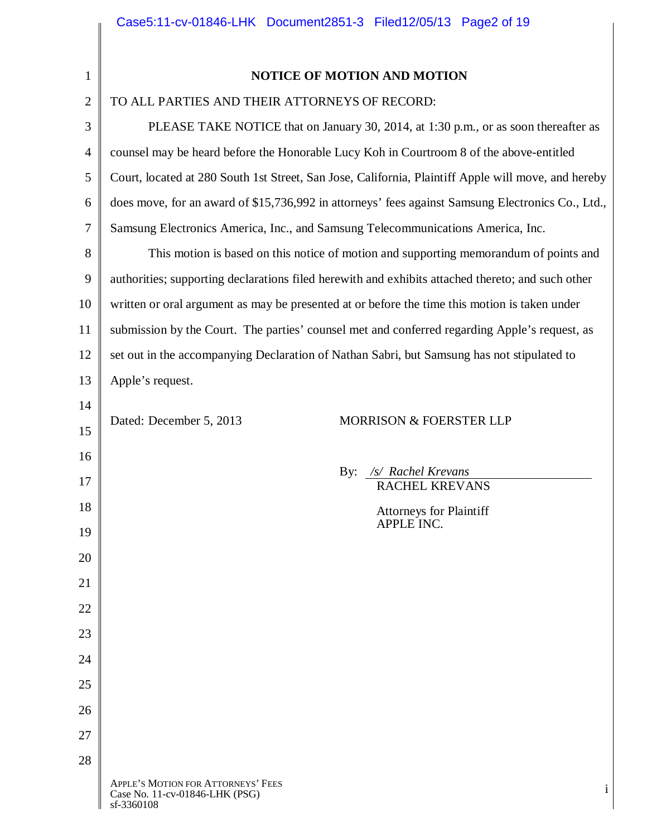|                | Caseb:II-CV-01846-LHK Document2851-3 File012/05/13 Page2 01 19                                      |  |  |  |  |  |
|----------------|-----------------------------------------------------------------------------------------------------|--|--|--|--|--|
| $\mathbf{1}$   | <b>NOTICE OF MOTION AND MOTION</b>                                                                  |  |  |  |  |  |
| $\overline{2}$ | TO ALL PARTIES AND THEIR ATTORNEYS OF RECORD:                                                       |  |  |  |  |  |
| 3              |                                                                                                     |  |  |  |  |  |
| 4              | PLEASE TAKE NOTICE that on January 30, 2014, at 1:30 p.m., or as soon thereafter as                 |  |  |  |  |  |
| 5              | counsel may be heard before the Honorable Lucy Koh in Courtroom 8 of the above-entitled             |  |  |  |  |  |
|                | Court, located at 280 South 1st Street, San Jose, California, Plaintiff Apple will move, and hereby |  |  |  |  |  |
| 6              | does move, for an award of \$15,736,992 in attorneys' fees against Samsung Electronics Co., Ltd.,   |  |  |  |  |  |
| $\tau$         | Samsung Electronics America, Inc., and Samsung Telecommunications America, Inc.                     |  |  |  |  |  |
| 8              | This motion is based on this notice of motion and supporting memorandum of points and               |  |  |  |  |  |
| 9              | authorities; supporting declarations filed herewith and exhibits attached thereto; and such other   |  |  |  |  |  |
| 10             | written or oral argument as may be presented at or before the time this motion is taken under       |  |  |  |  |  |
| 11             | submission by the Court. The parties' counsel met and conferred regarding Apple's request, as       |  |  |  |  |  |
| 12             | set out in the accompanying Declaration of Nathan Sabri, but Samsung has not stipulated to          |  |  |  |  |  |
| 13             | Apple's request.                                                                                    |  |  |  |  |  |
| 14             |                                                                                                     |  |  |  |  |  |
| 15             | Dated: December 5, 2013<br><b>MORRISON &amp; FOERSTER LLP</b>                                       |  |  |  |  |  |
| 16             |                                                                                                     |  |  |  |  |  |
| 17             | /s/ Rachel Krevans<br>By:<br>RACHEL KREVANS                                                         |  |  |  |  |  |
| 18             | <b>Attorneys for Plaintiff</b>                                                                      |  |  |  |  |  |
| 19             | APPLE INC.                                                                                          |  |  |  |  |  |
| 20             |                                                                                                     |  |  |  |  |  |
| 21             |                                                                                                     |  |  |  |  |  |
| 22             |                                                                                                     |  |  |  |  |  |
| 23             |                                                                                                     |  |  |  |  |  |
| 24             |                                                                                                     |  |  |  |  |  |
| 25             |                                                                                                     |  |  |  |  |  |
| 26             |                                                                                                     |  |  |  |  |  |
| 27             |                                                                                                     |  |  |  |  |  |
| 28             |                                                                                                     |  |  |  |  |  |
|                | APPLE'S MOTION FOR ATTORNEYS' FEES<br>$\mathbf{i}$<br>Case No. 11-cv-01846-LHK (PSG)<br>sf-3360108  |  |  |  |  |  |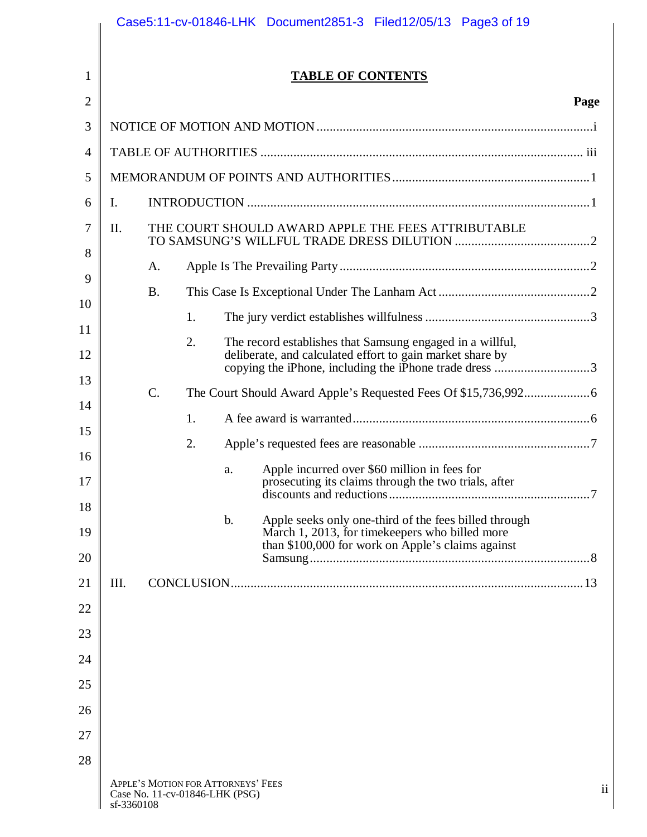|            |                 |    |                                                                      | <b>TABLE OF CONTENTS</b>                                                                                                                                                         |      |  |
|------------|-----------------|----|----------------------------------------------------------------------|----------------------------------------------------------------------------------------------------------------------------------------------------------------------------------|------|--|
|            |                 |    |                                                                      |                                                                                                                                                                                  | Page |  |
|            |                 |    |                                                                      |                                                                                                                                                                                  |      |  |
|            |                 |    |                                                                      |                                                                                                                                                                                  |      |  |
|            |                 |    |                                                                      |                                                                                                                                                                                  |      |  |
| Ι.         |                 |    |                                                                      |                                                                                                                                                                                  |      |  |
| II.        |                 |    | THE COURT SHOULD AWARD APPLE THE FEES ATTRIBUTABLE                   |                                                                                                                                                                                  |      |  |
|            | A.              |    |                                                                      |                                                                                                                                                                                  |      |  |
|            | <b>B.</b>       |    |                                                                      |                                                                                                                                                                                  |      |  |
|            |                 | 1. |                                                                      |                                                                                                                                                                                  |      |  |
|            |                 | 2. |                                                                      | The record establishes that Samsung engaged in a willful,<br>deliberate, and calculated effort to gain market share by<br>copying the iPhone, including the iPhone trade dress 3 |      |  |
|            | $\mathcal{C}$ . |    |                                                                      |                                                                                                                                                                                  |      |  |
|            |                 | 1. |                                                                      |                                                                                                                                                                                  |      |  |
|            |                 | 2. |                                                                      |                                                                                                                                                                                  |      |  |
|            |                 |    | a.                                                                   | Apple incurred over \$60 million in fees for<br>prosecuting its claims through the two trials, after                                                                             |      |  |
|            |                 |    | $\mathbf b$ .                                                        | Apple seeks only one-third of the fees billed through<br>March 1, 2013, for time keepers who billed more<br>than \$100,000 for work on Apple's claims against                    |      |  |
|            |                 |    |                                                                      |                                                                                                                                                                                  |      |  |
| III.       |                 |    |                                                                      |                                                                                                                                                                                  |      |  |
|            |                 |    |                                                                      |                                                                                                                                                                                  |      |  |
|            |                 |    |                                                                      |                                                                                                                                                                                  |      |  |
|            |                 |    |                                                                      |                                                                                                                                                                                  |      |  |
|            |                 |    |                                                                      |                                                                                                                                                                                  |      |  |
|            |                 |    |                                                                      |                                                                                                                                                                                  |      |  |
|            |                 |    |                                                                      |                                                                                                                                                                                  |      |  |
| sf-3360108 |                 |    | APPLE'S MOTION FOR ATTORNEYS' FEES<br>Case No. 11-cv-01846-LHK (PSG) |                                                                                                                                                                                  | ii   |  |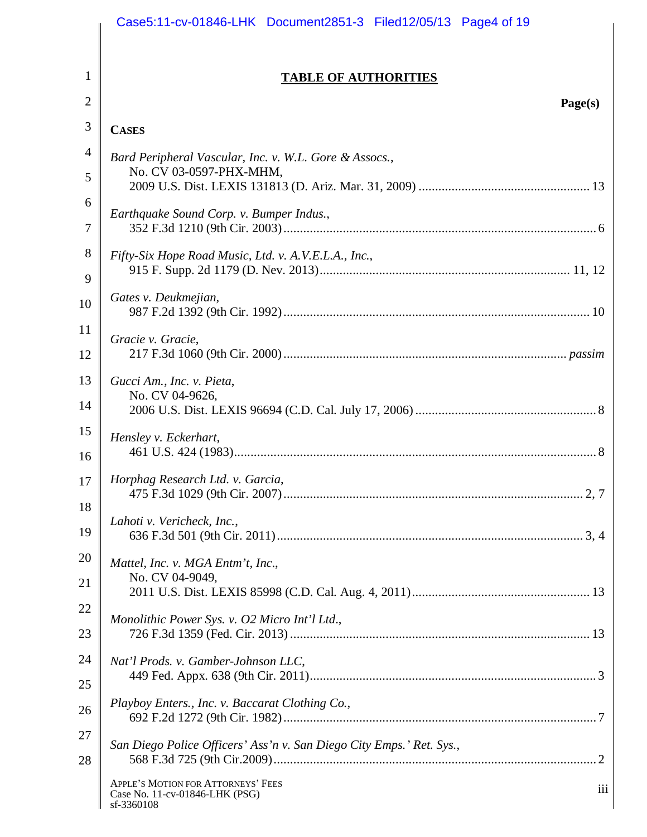|          | Case5:11-cv-01846-LHK Document2851-3 Filed12/05/13 Page4 of 19                            |
|----------|-------------------------------------------------------------------------------------------|
| 1        |                                                                                           |
|          | <b>TABLE OF AUTHORITIES</b>                                                               |
| 2        | Page(s)                                                                                   |
| 3        | <b>CASES</b>                                                                              |
| 4        | Bard Peripheral Vascular, Inc. v. W.L. Gore & Assocs.,<br>No. CV 03-0597-PHX-MHM,         |
| 5        |                                                                                           |
| 6<br>7   | Earthquake Sound Corp. v. Bumper Indus.,                                                  |
| 8<br>9   | Fifty-Six Hope Road Music, Ltd. v. A.V.E.L.A., Inc.,                                      |
| 10       | Gates v. Deukmejian,                                                                      |
| 11<br>12 | Gracie v. Gracie,                                                                         |
| 13<br>14 | Gucci Am., Inc. v. Pieta,<br>No. CV 04-9626,                                              |
| 15<br>16 | Hensley v. Eckerhart,                                                                     |
| 17<br>18 | Horphag Research Ltd. v. Garcia,                                                          |
| 19       | Lahoti v. Vericheck, Inc.,                                                                |
| 20       | Mattel, Inc. v. MGA Entm't, Inc.,                                                         |
| 21       | No. CV 04-9049,                                                                           |
| 22       | Monolithic Power Sys. v. O2 Micro Int'l Ltd.,                                             |
| 23       |                                                                                           |
| 24       | Nat'l Prods. v. Gamber-Johnson LLC,                                                       |
| 25       |                                                                                           |
| 26       | Playboy Enters., Inc. v. Baccarat Clothing Co.,                                           |
| 27<br>28 | San Diego Police Officers' Ass'n v. San Diego City Emps.' Ret. Sys.,                      |
|          | APPLE'S MOTION FOR ATTORNEYS' FEES<br>iii<br>Case No. 11-cv-01846-LHK (PSG)<br>sf-3360108 |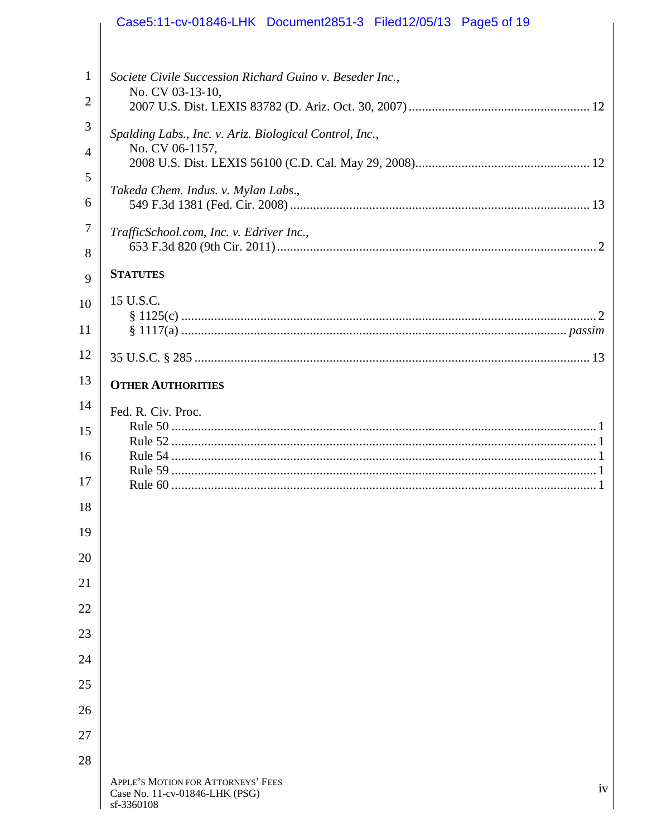|                | Case5:11-cv-01846-LHK Document2851-3 Filed12/05/13 Page5 of 19                                      |
|----------------|-----------------------------------------------------------------------------------------------------|
| 1              | Societe Civile Succession Richard Guino v. Beseder Inc.,                                            |
| 2              | No. CV 03-13-10,                                                                                    |
| 3              | Spalding Labs., Inc. v. Ariz. Biological Control, Inc.,                                             |
| $\overline{4}$ | No. CV 06-1157,                                                                                     |
| 5<br>6         | Takeda Chem. Indus. v. Mylan Labs.,                                                                 |
| 7<br>8         | TrafficSchool.com, Inc. v. Edriver Inc.,                                                            |
| 9              | <b>STATUTES</b>                                                                                     |
| 10             | 15 U.S.C.                                                                                           |
| 11             |                                                                                                     |
| 12             |                                                                                                     |
| 13             | <b>OTHER AUTHORITIES</b>                                                                            |
| 14<br>15       | Fed. R. Civ. Proc.                                                                                  |
| 16             |                                                                                                     |
| 17             |                                                                                                     |
| 18             |                                                                                                     |
| 19             |                                                                                                     |
| 20             |                                                                                                     |
| 21             |                                                                                                     |
| 22             |                                                                                                     |
| 23             |                                                                                                     |
| 24<br>25       |                                                                                                     |
| 26             |                                                                                                     |
| 27             |                                                                                                     |
| 28             |                                                                                                     |
|                | APPLE'S MOTION FOR ATTORNEYS' FEES<br>$i\mathbf{v}$<br>Case No. 11-cv-01846-LHK (PSG)<br>sf-3360108 |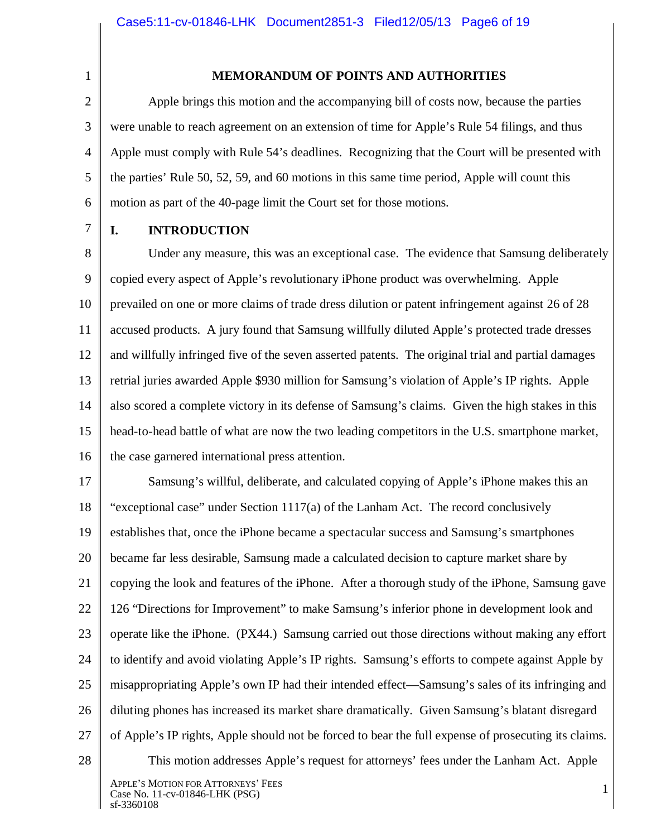2

1

#### **MEMORANDUM OF POINTS AND AUTHORITIES**

3 4 5 6 Apple brings this motion and the accompanying bill of costs now, because the parties were unable to reach agreement on an extension of time for Apple's Rule 54 filings, and thus Apple must comply with Rule 54's deadlines. Recognizing that the Court will be presented with the parties' Rule 50, 52, 59, and 60 motions in this same time period, Apple will count this motion as part of the 40-page limit the Court set for those motions.

7

#### **I. INTRODUCTION**

8 9 10 11 12 13 14 15 16 Under any measure, this was an exceptional case. The evidence that Samsung deliberately copied every aspect of Apple's revolutionary iPhone product was overwhelming. Apple prevailed on one or more claims of trade dress dilution or patent infringement against 26 of 28 accused products. A jury found that Samsung willfully diluted Apple's protected trade dresses and willfully infringed five of the seven asserted patents. The original trial and partial damages retrial juries awarded Apple \$930 million for Samsung's violation of Apple's IP rights. Apple also scored a complete victory in its defense of Samsung's claims. Given the high stakes in this head-to-head battle of what are now the two leading competitors in the U.S. smartphone market, the case garnered international press attention.

17 18 19 20 21 22 23 24 25 26 27 Samsung's willful, deliberate, and calculated copying of Apple's iPhone makes this an "exceptional case" under Section  $1117(a)$  of the Lanham Act. The record conclusively establishes that, once the iPhone became a spectacular success and Samsung's smartphones became far less desirable, Samsung made a calculated decision to capture market share by copying the look and features of the iPhone. After a thorough study of the iPhone, Samsung gave 126 "Directions for Improvement" to make Samsung's inferior phone in development look and operate like the iPhone. (PX44.) Samsung carried out those directions without making any effort to identify and avoid violating Apple's IP rights. Samsung's efforts to compete against Apple by misappropriating Apple's own IP had their intended effect—Samsung's sales of its infringing and diluting phones has increased its market share dramatically. Given Samsung's blatant disregard of Apple's IP rights, Apple should not be forced to bear the full expense of prosecuting its claims. This motion addresses Apple's request for attorneys' fees under the Lanham Act. Apple

28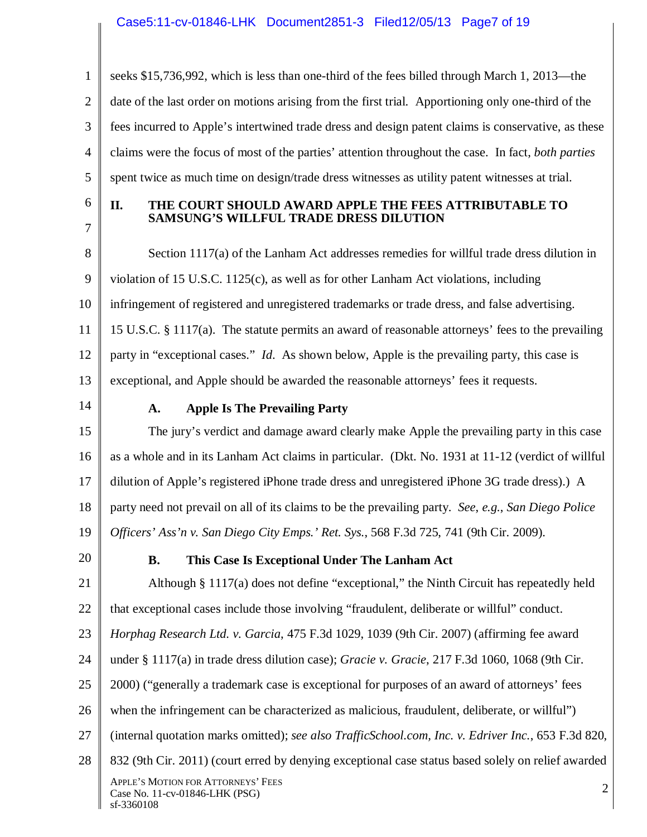1 2 3 4 5 seeks \$15,736,992, which is less than one-third of the fees billed through March 1, 2013—the date of the last order on motions arising from the first trial. Apportioning only one-third of the fees incurred to Apple's intertwined trade dress and design patent claims is conservative, as these claims were the focus of most of the parties' attention throughout the case. In fact, *both parties* spent twice as much time on design/trade dress witnesses as utility patent witnesses at trial.

6 7

## **II. THE COURT SHOULD AWARD APPLE THE FEES ATTRIBUTABLE TO SAMSUNG'S WILLFUL TRADE DRESS DILUTION**

8 9 10 11 12 13 Section 1117(a) of the Lanham Act addresses remedies for willful trade dress dilution in violation of 15 U.S.C. 1125(c), as well as for other Lanham Act violations, including infringement of registered and unregistered trademarks or trade dress, and false advertising. 15 U.S.C. § 1117(a). The statute permits an award of reasonable attorneys' fees to the prevailing party in "exceptional cases." *Id*. As shown below, Apple is the prevailing party, this case is exceptional, and Apple should be awarded the reasonable attorneys' fees it requests.

14

# **A. Apple Is The Prevailing Party**

15 16 17 18 19 The jury's verdict and damage award clearly make Apple the prevailing party in this case as a whole and in its Lanham Act claims in particular. (Dkt. No. 1931 at 11-12 (verdict of willful dilution of Apple's registered iPhone trade dress and unregistered iPhone 3G trade dress).) A party need not prevail on all of its claims to be the prevailing party. *See*, *e.g.*, *San Diego Police Officers' Ass'n v. San Diego City Emps.' Ret. Sys.*, 568 F.3d 725, 741 (9th Cir. 2009).

20

# **B. This Case Is Exceptional Under The Lanham Act**

21 22 23 24 25 26 27 28 APPLE'S MOTION FOR ATTORNEYS' FEES AFFLE S INOTION FOR ATTORINETS TEES<br>Case No. 11-cv-01846-LHK (PSG) 2 sf-3360108 Although § 1117(a) does not define "exceptional," the Ninth Circuit has repeatedly held that exceptional cases include those involving "fraudulent, deliberate or willful" conduct. *Horphag Research Ltd. v. Garcia*, 475 F.3d 1029, 1039 (9th Cir. 2007) (affirming fee award under § 1117(a) in trade dress dilution case); *Gracie v. Gracie*, 217 F.3d 1060, 1068 (9th Cir. 2000) ("generally a trademark case is exceptional for purposes of an award of attorneys' fees when the infringement can be characterized as malicious, fraudulent, deliberate, or willful") (internal quotation marks omitted); *see also TrafficSchool.com, Inc. v. Edriver Inc.*, 653 F.3d 820, 832 (9th Cir. 2011) (court erred by denying exceptional case status based solely on relief awarded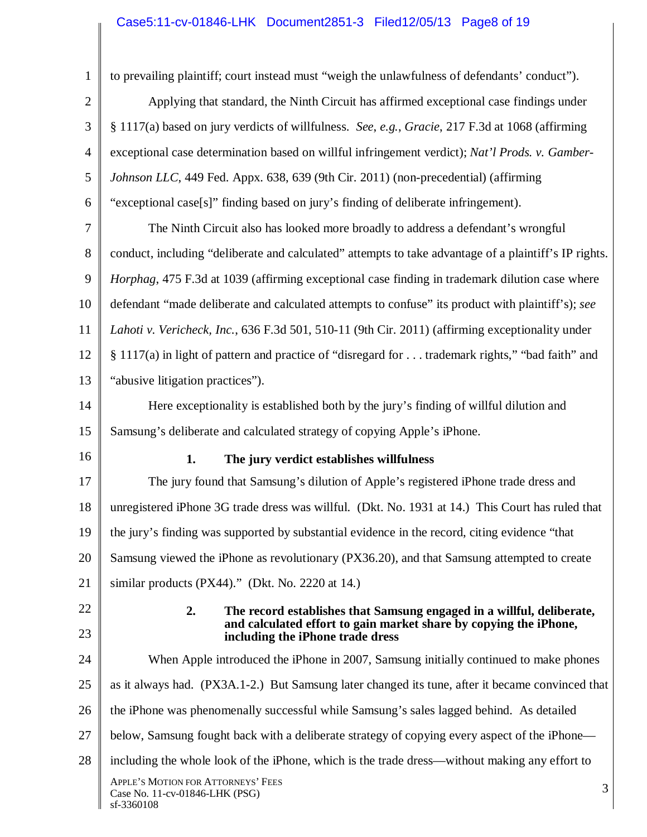# Case5:11-cv-01846-LHK Document2851-3 Filed12/05/13 Page8 of 19

 $\overline{\phantom{a}}$ 

| $\mathbf{1}$   | to prevailing plaintiff; court instead must "weigh the unlawfulness of defendants' conduct").                                                                                        |  |  |  |  |
|----------------|--------------------------------------------------------------------------------------------------------------------------------------------------------------------------------------|--|--|--|--|
| $\overline{2}$ | Applying that standard, the Ninth Circuit has affirmed exceptional case findings under                                                                                               |  |  |  |  |
| 3              | § 1117(a) based on jury verdicts of willfulness. See, e.g., Gracie, 217 F.3d at 1068 (affirming                                                                                      |  |  |  |  |
| 4              | exceptional case determination based on willful infringement verdict); Nat'l Prods. v. Gamber-                                                                                       |  |  |  |  |
| 5              | Johnson LLC, 449 Fed. Appx. 638, 639 (9th Cir. 2011) (non-precedential) (affirming                                                                                                   |  |  |  |  |
| 6              | "exceptional case[s]" finding based on jury's finding of deliberate infringement).                                                                                                   |  |  |  |  |
| 7              | The Ninth Circuit also has looked more broadly to address a defendant's wrongful                                                                                                     |  |  |  |  |
| 8              | conduct, including "deliberate and calculated" attempts to take advantage of a plaintiff's IP rights.                                                                                |  |  |  |  |
| 9              | Horphag, 475 F.3d at 1039 (affirming exceptional case finding in trademark dilution case where                                                                                       |  |  |  |  |
| 10             | defendant "made deliberate and calculated attempts to confuse" its product with plaintiff's); see                                                                                    |  |  |  |  |
| 11             | Lahoti v. Vericheck, Inc., 636 F.3d 501, 510-11 (9th Cir. 2011) (affirming exceptionality under                                                                                      |  |  |  |  |
| 12             | § 1117(a) in light of pattern and practice of "disregard for  trademark rights," "bad faith" and                                                                                     |  |  |  |  |
| 13             | "abusive litigation practices").                                                                                                                                                     |  |  |  |  |
| 14             | Here exceptionality is established both by the jury's finding of willful dilution and                                                                                                |  |  |  |  |
| 15             | Samsung's deliberate and calculated strategy of copying Apple's iPhone.                                                                                                              |  |  |  |  |
| 16             | 1.<br>The jury verdict establishes willfulness                                                                                                                                       |  |  |  |  |
| 17             | The jury found that Samsung's dilution of Apple's registered iPhone trade dress and                                                                                                  |  |  |  |  |
| 18             | unregistered iPhone 3G trade dress was willful. (Dkt. No. 1931 at 14.) This Court has ruled that                                                                                     |  |  |  |  |
| 19             | the jury's finding was supported by substantial evidence in the record, citing evidence "that                                                                                        |  |  |  |  |
| 20             | Samsung viewed the iPhone as revolutionary (PX36.20), and that Samsung attempted to create                                                                                           |  |  |  |  |
| 21             | similar products (PX44)." (Dkt. No. 2220 at 14.)                                                                                                                                     |  |  |  |  |
| 22<br>23       | 2.<br>The record establishes that Samsung engaged in a willful, deliberate,<br>and calculated effort to gain market share by copying the iPhone,<br>including the iPhone trade dress |  |  |  |  |
| 24             | When Apple introduced the iPhone in 2007, Samsung initially continued to make phones                                                                                                 |  |  |  |  |
| 25             | as it always had. (PX3A.1-2.) But Samsung later changed its tune, after it became convinced that                                                                                     |  |  |  |  |
| 26             | the iPhone was phenomenally successful while Samsung's sales lagged behind. As detailed                                                                                              |  |  |  |  |
| 27             | below, Samsung fought back with a deliberate strategy of copying every aspect of the iPhone—                                                                                         |  |  |  |  |
| 28             | including the whole look of the iPhone, which is the trade dress—without making any effort to                                                                                        |  |  |  |  |
|                | APPLE'S MOTION FOR ATTORNEYS' FEES<br>3<br>Case No. 11-cv-01846-LHK (PSG)<br>sf-3360108                                                                                              |  |  |  |  |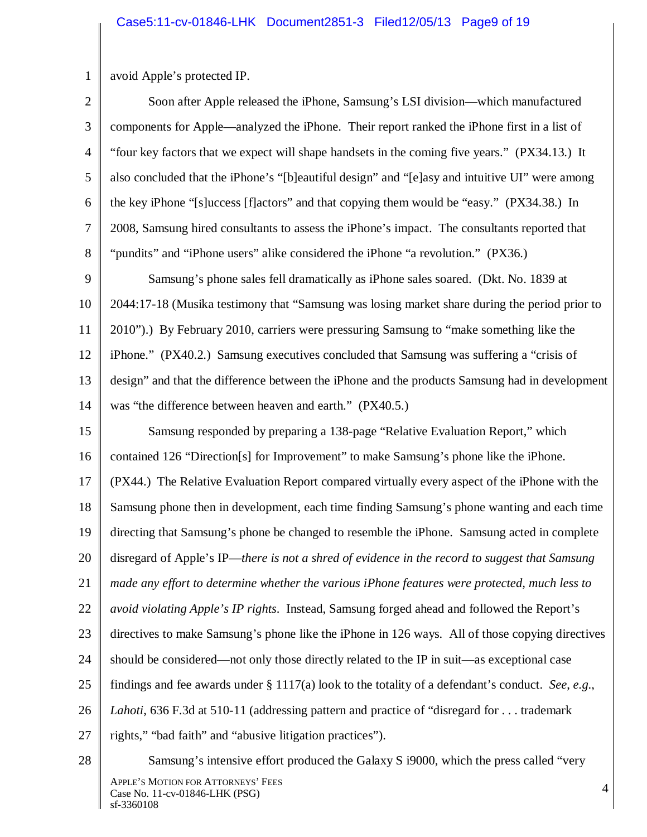1 avoid Apple's protected IP.

2 3 4 5 6 7 8 Soon after Apple released the iPhone, Samsung's LSI division—which manufactured components for Apple—analyzed the iPhone. Their report ranked the iPhone first in a list of "four key factors that we expect will shape handsets in the coming five years." (PX34.13.) It also concluded that the iPhone's "[b]eautiful design" and "[e]asy and intuitive UI" were among the key iPhone "[s]uccess [f]actors" and that copying them would be "easy." (PX34.38.) In 2008, Samsung hired consultants to assess the iPhone's impact. The consultants reported that "pundits" and "iPhone users" alike considered the iPhone "a revolution." (PX36.)

9 10 11 12 13 14 Samsung's phone sales fell dramatically as iPhone sales soared. (Dkt. No. 1839 at 2044:17-18 (Musika testimony that "Samsung was losing market share during the period prior to 2010").) By February 2010, carriers were pressuring Samsung to "make something like the iPhone." (PX40.2.) Samsung executives concluded that Samsung was suffering a "crisis of design" and that the difference between the iPhone and the products Samsung had in development was "the difference between heaven and earth." (PX40.5.)

15 16 17 18 19 20 21 22 23 24 25 26 27 Samsung responded by preparing a 138-page "Relative Evaluation Report," which contained 126 "Direction[s] for Improvement" to make Samsung's phone like the iPhone. (PX44.) The Relative Evaluation Report compared virtually every aspect of the iPhone with the Samsung phone then in development, each time finding Samsung's phone wanting and each time directing that Samsung's phone be changed to resemble the iPhone. Samsung acted in complete disregard of Apple's IP—*there is not a shred of evidence in the record to suggest that Samsung made any effort to determine whether the various iPhone features were protected, much less to avoid violating Apple's IP rights*. Instead, Samsung forged ahead and followed the Report's directives to make Samsung's phone like the iPhone in 126 ways. All of those copying directives should be considered—not only those directly related to the IP in suit—as exceptional case findings and fee awards under § 1117(a) look to the totality of a defendant's conduct. *See*, *e.g.*, *Lahoti*, 636 F.3d at 510-11 (addressing pattern and practice of "disregard for . . . trademark rights," "bad faith" and "abusive litigation practices").

28

APPLE'S MOTION FOR ATTORNEYS' FEES Case No. 11-cv-01846-LHK (PSG) 4 sf-3360108 Samsung's intensive effort produced the Galaxy S i9000, which the press called "very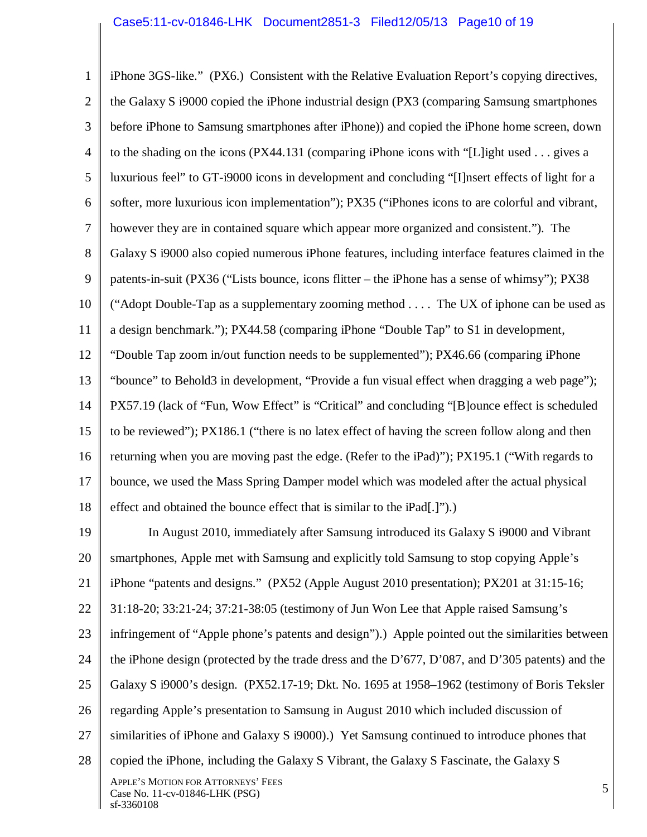1 2 3 4 5 6 7 8 9 10 11 12 13 14 15 16 17 18 iPhone 3GS-like." (PX6.) Consistent with the Relative Evaluation Report's copying directives, the Galaxy S i9000 copied the iPhone industrial design (PX3 (comparing Samsung smartphones before iPhone to Samsung smartphones after iPhone)) and copied the iPhone home screen, down to the shading on the icons (PX44.131 (comparing iPhone icons with "[L]ight used . . . gives a luxurious feel" to GT-i9000 icons in development and concluding "[I]nsert effects of light for a softer, more luxurious icon implementation"); PX35 ("iPhones icons to are colorful and vibrant, however they are in contained square which appear more organized and consistent."). The Galaxy S i9000 also copied numerous iPhone features, including interface features claimed in the patents-in-suit (PX36 ("Lists bounce, icons flitter – the iPhone has a sense of whimsy"); PX38 ("Adopt Double-Tap as a supplementary zooming method . . . . The UX of iphone can be used as a design benchmark."); PX44.58 (comparing iPhone "Double Tap" to S1 in development, "Double Tap zoom in/out function needs to be supplemented"); PX46.66 (comparing iPhone "bounce" to Behold3 in development, "Provide a fun visual effect when dragging a web page"); PX57.19 (lack of "Fun, Wow Effect" is "Critical" and concluding "[B]ounce effect is scheduled to be reviewed"); PX186.1 ("there is no latex effect of having the screen follow along and then returning when you are moving past the edge. (Refer to the iPad)"); PX195.1 ("With regards to bounce, we used the Mass Spring Damper model which was modeled after the actual physical effect and obtained the bounce effect that is similar to the iPad[.]").)

19 20 21 22 23 24 25 26 27 28 APPLE'S MOTION FOR ATTORNEYS' FEES Case No. 11-cv-01846-LHK (PSG) 5 sf-3360108 In August 2010, immediately after Samsung introduced its Galaxy S i9000 and Vibrant smartphones, Apple met with Samsung and explicitly told Samsung to stop copying Apple's iPhone "patents and designs." (PX52 (Apple August 2010 presentation); PX201 at 31:15-16; 31:18-20; 33:21-24; 37:21-38:05 (testimony of Jun Won Lee that Apple raised Samsung's infringement of "Apple phone's patents and design").) Apple pointed out the similarities between the iPhone design (protected by the trade dress and the D'677, D'087, and D'305 patents) and the Galaxy S i9000's design. (PX52.17-19; Dkt. No. 1695 at 1958–1962 (testimony of Boris Teksler regarding Apple's presentation to Samsung in August 2010 which included discussion of similarities of iPhone and Galaxy S i9000).) Yet Samsung continued to introduce phones that copied the iPhone, including the Galaxy S Vibrant, the Galaxy S Fascinate, the Galaxy S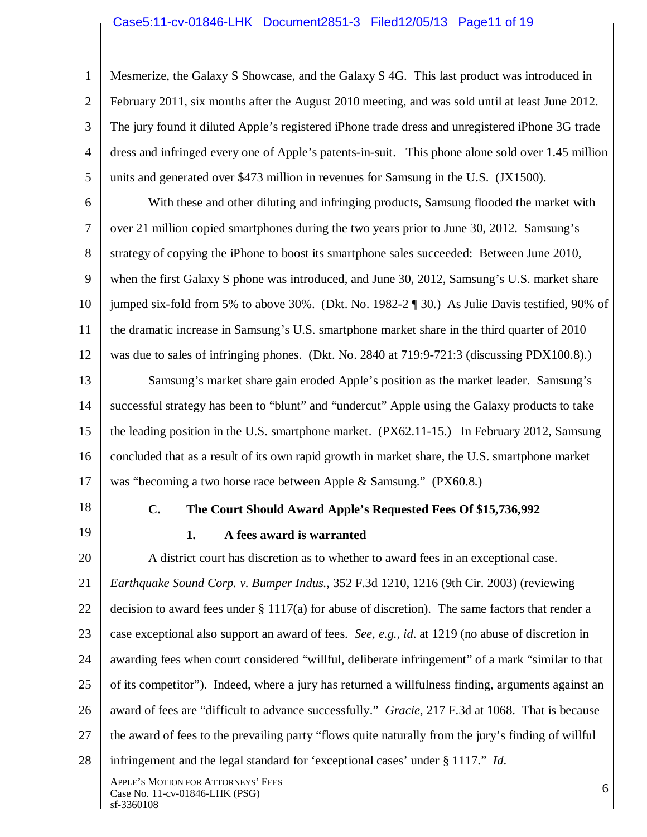#### Case5:11-cv-01846-LHK Document2851-3 Filed12/05/13 Page11 of 19

1 2 3 4 5 Mesmerize, the Galaxy S Showcase, and the Galaxy S 4G. This last product was introduced in February 2011, six months after the August 2010 meeting, and was sold until at least June 2012. The jury found it diluted Apple's registered iPhone trade dress and unregistered iPhone 3G trade dress and infringed every one of Apple's patents-in-suit. This phone alone sold over 1.45 million units and generated over \$473 million in revenues for Samsung in the U.S. (JX1500).

6 7 8 9 10 11 12 With these and other diluting and infringing products, Samsung flooded the market with over 21 million copied smartphones during the two years prior to June 30, 2012. Samsung's strategy of copying the iPhone to boost its smartphone sales succeeded: Between June 2010, when the first Galaxy S phone was introduced, and June 30, 2012, Samsung's U.S. market share jumped six-fold from 5% to above 30%. (Dkt. No. 1982-2 ¶ 30.) As Julie Davis testified, 90% of the dramatic increase in Samsung's U.S. smartphone market share in the third quarter of 2010 was due to sales of infringing phones. (Dkt. No. 2840 at 719:9-721:3 (discussing PDX100.8).)

13 14 15 16 17 Samsung's market share gain eroded Apple's position as the market leader. Samsung's successful strategy has been to "blunt" and "undercut" Apple using the Galaxy products to take the leading position in the U.S. smartphone market. (PX62.11-15.) In February 2012, Samsung concluded that as a result of its own rapid growth in market share, the U.S. smartphone market was "becoming a two horse race between Apple & Samsung." (PX60.8.)

- 18
- 19

## **C. The Court Should Award Apple's Requested Fees Of \$15,736,992**

## **1. A fees award is warranted**

20 21 22 23 24 25 26 27 28 A district court has discretion as to whether to award fees in an exceptional case. *Earthquake Sound Corp. v. Bumper Indus.*, 352 F.3d 1210, 1216 (9th Cir. 2003) (reviewing decision to award fees under § 1117(a) for abuse of discretion). The same factors that render a case exceptional also support an award of fees. *See, e.g., id*. at 1219 (no abuse of discretion in awarding fees when court considered "willful, deliberate infringement" of a mark "similar to that of its competitor"). Indeed, where a jury has returned a willfulness finding, arguments against an award of fees are "difficult to advance successfully." *Gracie*, 217 F.3d at 1068. That is because the award of fees to the prevailing party "flows quite naturally from the jury's finding of willful infringement and the legal standard for 'exceptional cases' under § 1117." *Id*.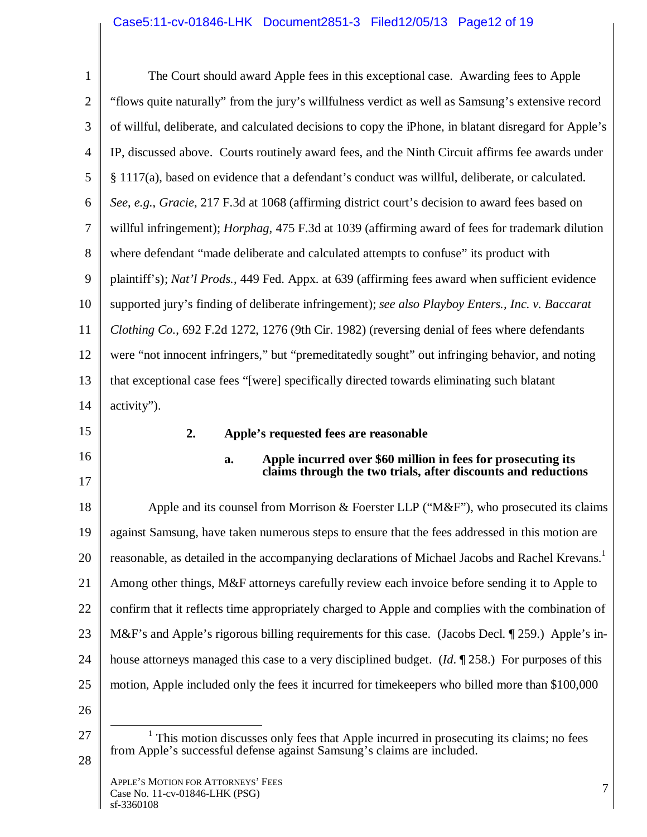# Case5:11-cv-01846-LHK Document2851-3 Filed12/05/13 Page12 of 19

| $\mathbf{1}$   | The Court should award Apple fees in this exceptional case. Awarding fees to Apple                                                                                   |  |  |  |  |
|----------------|----------------------------------------------------------------------------------------------------------------------------------------------------------------------|--|--|--|--|
| $\overline{2}$ | "flows quite naturally" from the jury's willfulness verdict as well as Samsung's extensive record                                                                    |  |  |  |  |
| 3              | of willful, deliberate, and calculated decisions to copy the iPhone, in blatant disregard for Apple's                                                                |  |  |  |  |
| $\overline{4}$ | IP, discussed above. Courts routinely award fees, and the Ninth Circuit affirms fee awards under                                                                     |  |  |  |  |
| 5              | § 1117(a), based on evidence that a defendant's conduct was willful, deliberate, or calculated.                                                                      |  |  |  |  |
| 6              | See, e.g., Gracie, 217 F.3d at 1068 (affirming district court's decision to award fees based on                                                                      |  |  |  |  |
| $\overline{7}$ | willful infringement); <i>Horphag</i> , 475 F.3d at 1039 (affirming award of fees for trademark dilution                                                             |  |  |  |  |
| 8              | where defendant "made deliberate and calculated attempts to confuse" its product with                                                                                |  |  |  |  |
| 9              | plaintiff's); Nat'l Prods., 449 Fed. Appx. at 639 (affirming fees award when sufficient evidence                                                                     |  |  |  |  |
| 10             | supported jury's finding of deliberate infringement); see also Playboy Enters., Inc. v. Baccarat                                                                     |  |  |  |  |
| 11             | Clothing Co., 692 F.2d 1272, 1276 (9th Cir. 1982) (reversing denial of fees where defendants                                                                         |  |  |  |  |
| 12             | were "not innocent infringers," but "premeditatedly sought" out infringing behavior, and noting                                                                      |  |  |  |  |
| 13             | that exceptional case fees "[were] specifically directed towards eliminating such blatant                                                                            |  |  |  |  |
| 14             | activity").                                                                                                                                                          |  |  |  |  |
|                |                                                                                                                                                                      |  |  |  |  |
| 15             | 2.<br>Apple's requested fees are reasonable                                                                                                                          |  |  |  |  |
| 16             | Apple incurred over \$60 million in fees for prosecuting its<br>a.                                                                                                   |  |  |  |  |
| 17             | claims through the two trials, after discounts and reductions                                                                                                        |  |  |  |  |
| 18             | Apple and its counsel from Morrison & Foerster LLP (" $M\&F$ "), who prosecuted its claims                                                                           |  |  |  |  |
| 19             | against Samsung, have taken numerous steps to ensure that the fees addressed in this motion are                                                                      |  |  |  |  |
| 20             | reasonable, as detailed in the accompanying declarations of Michael Jacobs and Rachel Krevans. <sup>1</sup>                                                          |  |  |  |  |
| 21             | Among other things, M&F attorneys carefully review each invoice before sending it to Apple to                                                                        |  |  |  |  |
| 22             | confirm that it reflects time appropriately charged to Apple and complies with the combination of                                                                    |  |  |  |  |
| 23             | M&F's and Apple's rigorous billing requirements for this case. (Jacobs Decl. ¶ 259.) Apple's in-                                                                     |  |  |  |  |
| 24             | house attorneys managed this case to a very disciplined budget. ( <i>Id.</i> $\mathbb{I}$ 258.) For purposes of this                                                 |  |  |  |  |
| 25             | motion, Apple included only the fees it incurred for time keepers who billed more than \$100,000                                                                     |  |  |  |  |
| 26             |                                                                                                                                                                      |  |  |  |  |
| 27             | $1$ This motion discusses only fees that Apple incurred in prosecuting its claims; no fees<br>from Apple's successful defense against Samsung's claims are included. |  |  |  |  |

 $\blacksquare$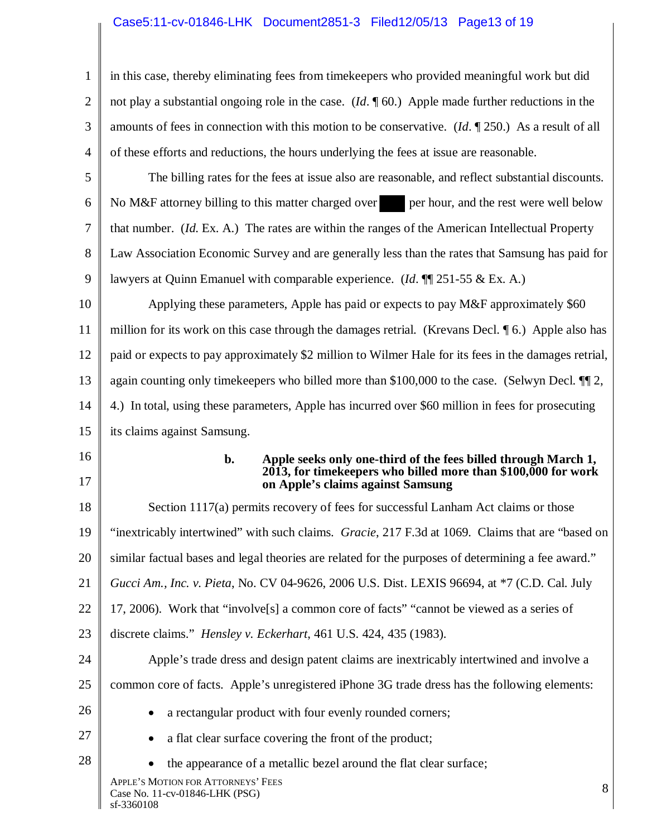## Case5:11-cv-01846-LHK Document2851-3 Filed12/05/13 Page13 of 19

3 4 in this case, thereby eliminating fees from timekeepers who provided meaningful work but did not play a substantial ongoing role in the case. (*Id*. ¶ 60.) Apple made further reductions in the amounts of fees in connection with this motion to be conservative. (*Id*. ¶ 250.) As a result of all of these efforts and reductions, the hours underlying the fees at issue are reasonable.

5 6 7 8 9 The billing rates for the fees at issue also are reasonable, and reflect substantial discounts. No M&F attorney billing to this matter charged over per hour, and the rest were well below that number. (*Id*. Ex. A.) The rates are within the ranges of the American Intellectual Property Law Association Economic Survey and are generally less than the rates that Samsung has paid for lawyers at Quinn Emanuel with comparable experience. (*Id*. ¶¶ 251-55 & Ex. A.)

10 11 12 13 14 15 Applying these parameters, Apple has paid or expects to pay M&F approximately \$60 million for its work on this case through the damages retrial. (Krevans Decl. ¶ 6.) Apple also has paid or expects to pay approximately \$2 million to Wilmer Hale for its fees in the damages retrial, again counting only timekeepers who billed more than \$100,000 to the case. (Selwyn Decl. ¶¶ 2, 4.) In total, using these parameters, Apple has incurred over \$60 million in fees for prosecuting its claims against Samsung.

16

1

2

17

#### **b. Apple seeks only one-third of the fees billed through March 1, 2013, for timekeepers who billed more than \$100,000 for work on Apple's claims against Samsung**

18 19 20 21 22 23 24 25 26 27 28 Section 1117(a) permits recovery of fees for successful Lanham Act claims or those "inextricably intertwined" with such claims. *Gracie*, 217 F.3d at 1069. Claims that are "based on similar factual bases and legal theories are related for the purposes of determining a fee award." *Gucci Am., Inc. v. Pieta*, No. CV 04-9626, 2006 U.S. Dist. LEXIS 96694, at \*7 (C.D. Cal. July 17, 2006). Work that "involve[s] a common core of facts" "cannot be viewed as a series of discrete claims." *Hensley v. Eckerhart*, 461 U.S. 424, 435 (1983). Apple's trade dress and design patent claims are inextricably intertwined and involve a common core of facts. Apple's unregistered iPhone 3G trade dress has the following elements: a rectangular product with four evenly rounded corners; a flat clear surface covering the front of the product; the appearance of a metallic bezel around the flat clear surface;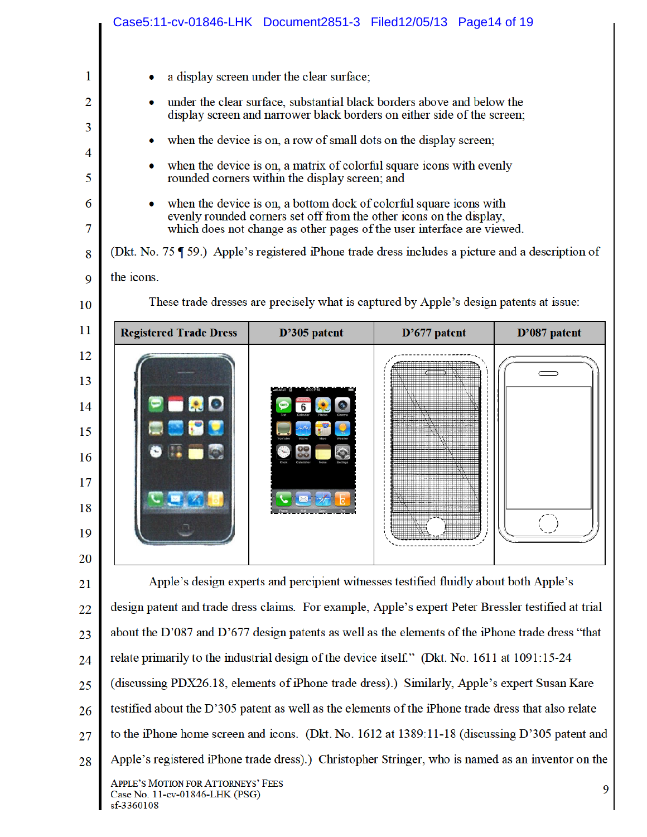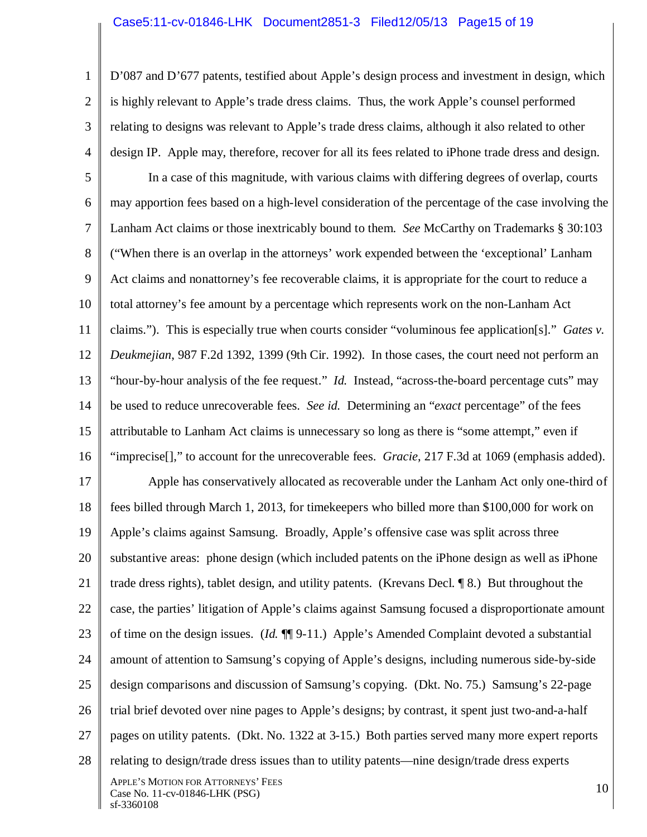1

2

3 4 D'087 and D'677 patents, testified about Apple's design process and investment in design, which is highly relevant to Apple's trade dress claims. Thus, the work Apple's counsel performed relating to designs was relevant to Apple's trade dress claims, although it also related to other design IP. Apple may, therefore, recover for all its fees related to iPhone trade dress and design.

5 6 7 8 9 10 11 12 13 14 15 16 In a case of this magnitude, with various claims with differing degrees of overlap, courts may apportion fees based on a high-level consideration of the percentage of the case involving the Lanham Act claims or those inextricably bound to them. *See* McCarthy on Trademarks § 30:103 ("When there is an overlap in the attorneys' work expended between the 'exceptional' Lanham Act claims and nonattorney's fee recoverable claims, it is appropriate for the court to reduce a total attorney's fee amount by a percentage which represents work on the non-Lanham Act claims."). This is especially true when courts consider "voluminous fee application[s]." *Gates v. Deukmejian*, 987 F.2d 1392, 1399 (9th Cir. 1992). In those cases, the court need not perform an "hour-by-hour analysis of the fee request." *Id.* Instead, "across-the-board percentage cuts" may be used to reduce unrecoverable fees. *See id.* Determining an "*exact* percentage" of the fees attributable to Lanham Act claims is unnecessary so long as there is "some attempt," even if "imprecise[]," to account for the unrecoverable fees. *Gracie*, 217 F.3d at 1069 (emphasis added).

17 18 19 20 21 22 23 24 25 26 27 28 APPLE'S MOTION FOR ATTORNEYS' FEES Case No. 11-cv-01846-LHK (PSG) 10 Apple has conservatively allocated as recoverable under the Lanham Act only one-third of fees billed through March 1, 2013, for timekeepers who billed more than \$100,000 for work on Apple's claims against Samsung. Broadly, Apple's offensive case was split across three substantive areas: phone design (which included patents on the iPhone design as well as iPhone trade dress rights), tablet design, and utility patents. (Krevans Decl. ¶ 8.) But throughout the case, the parties' litigation of Apple's claims against Samsung focused a disproportionate amount of time on the design issues. (*Id.* ¶¶ 9-11.) Apple's Amended Complaint devoted a substantial amount of attention to Samsung's copying of Apple's designs, including numerous side-by-side design comparisons and discussion of Samsung's copying. (Dkt. No. 75.) Samsung's 22-page trial brief devoted over nine pages to Apple's designs; by contrast, it spent just two-and-a-half pages on utility patents. (Dkt. No. 1322 at 3-15.) Both parties served many more expert reports relating to design/trade dress issues than to utility patents—nine design/trade dress experts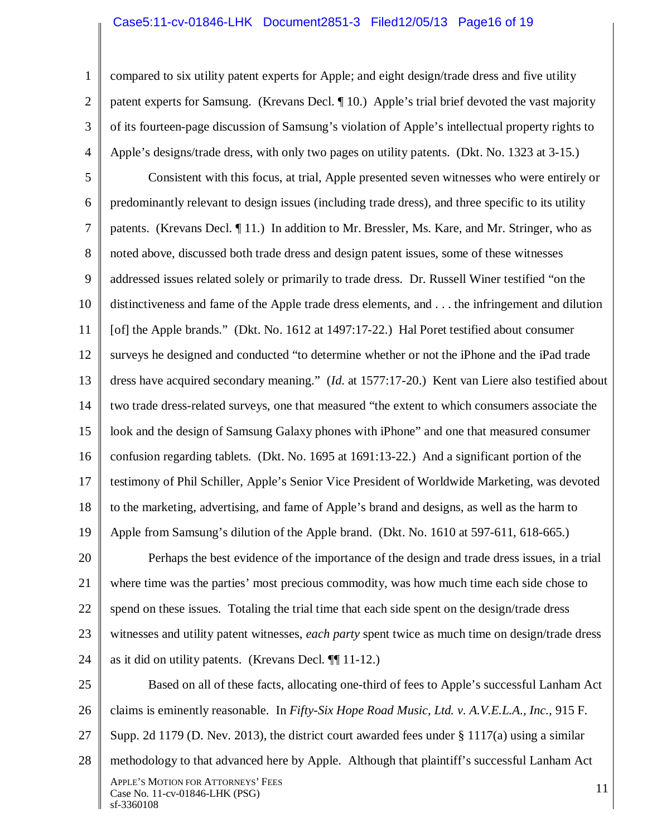#### Case5:11-cv-01846-LHK Document2851-3 Filed12/05/13 Page16 of 19

1

2

3

4

compared to six utility patent experts for Apple; and eight design/trade dress and five utility patent experts for Samsung. (Krevans Decl. ¶ 10.) Apple's trial brief devoted the vast majority of its fourteen-page discussion of Samsung's violation of Apple's intellectual property rights to Apple's designs/trade dress, with only two pages on utility patents. (Dkt. No. 1323 at 3-15.)

5 6 7 8 9 10 11 12 13 14 15 16 17 18 19 Consistent with this focus, at trial, Apple presented seven witnesses who were entirely or predominantly relevant to design issues (including trade dress), and three specific to its utility patents. (Krevans Decl. ¶ 11.) In addition to Mr. Bressler, Ms. Kare, and Mr. Stringer, who as noted above, discussed both trade dress and design patent issues, some of these witnesses addressed issues related solely or primarily to trade dress. Dr. Russell Winer testified "on the distinctiveness and fame of the Apple trade dress elements, and . . . the infringement and dilution [of] the Apple brands." (Dkt. No. 1612 at 1497:17-22.) Hal Poret testified about consumer surveys he designed and conducted "to determine whether or not the iPhone and the iPad trade dress have acquired secondary meaning." (*Id*. at 1577:17-20.) Kent van Liere also testified about two trade dress-related surveys, one that measured "the extent to which consumers associate the look and the design of Samsung Galaxy phones with iPhone" and one that measured consumer confusion regarding tablets. (Dkt. No. 1695 at 1691:13-22.) And a significant portion of the testimony of Phil Schiller, Apple's Senior Vice President of Worldwide Marketing, was devoted to the marketing, advertising, and fame of Apple's brand and designs, as well as the harm to Apple from Samsung's dilution of the Apple brand. (Dkt. No. 1610 at 597-611, 618-665.)

20 21 22 23 24 Perhaps the best evidence of the importance of the design and trade dress issues, in a trial where time was the parties' most precious commodity, was how much time each side chose to spend on these issues. Totaling the trial time that each side spent on the design/trade dress witnesses and utility patent witnesses, *each party* spent twice as much time on design/trade dress as it did on utility patents. (Krevans Decl. ¶¶ 11-12.)

25 26 27 28 APPLE'S MOTION FOR ATTORNEYS' FEES  $\frac{X_1 E E}{X_2 E}$  SMOTION FOR ATTONIELS TEES 11 and  $\frac{X_1}{X_2}$  1 and  $\frac{X_2}{X_1}$  1 and  $\frac{X_3}{X_2}$  1 and  $\frac{X_4}{X_3}$  1 and  $\frac{X_5}{X_6}$  1 and  $\frac{X_6}{X_7}$  1 and  $\frac{X_7}{X_8}$  1 and  $\frac{X_7}{X_8}$  1 and  $\frac{X_8}{X_$ sf-3360108 Based on all of these facts, allocating one-third of fees to Apple's successful Lanham Act claims is eminently reasonable. In *Fifty-Six Hope Road Music, Ltd. v. A.V.E.L.A., Inc.*, 915 F. Supp. 2d 1179 (D. Nev. 2013), the district court awarded fees under § 1117(a) using a similar methodology to that advanced here by Apple. Although that plaintiff's successful Lanham Act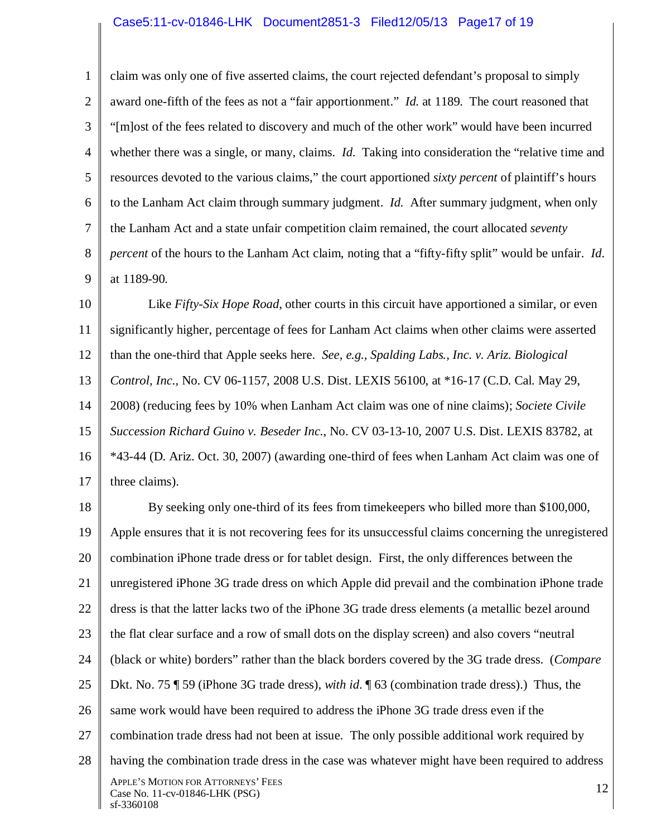#### Case5:11-cv-01846-LHK Document2851-3 Filed12/05/13 Page17 of 19

1 2 3 4 5 6 7 8 9 claim was only one of five asserted claims, the court rejected defendant's proposal to simply award one-fifth of the fees as not a "fair apportionment." *Id.* at 1189. The court reasoned that "[m]ost of the fees related to discovery and much of the other work" would have been incurred whether there was a single, or many, claims. *Id.* Taking into consideration the "relative time and resources devoted to the various claims," the court apportioned *sixty percent* of plaintiff's hours to the Lanham Act claim through summary judgment. *Id.* After summary judgment, when only the Lanham Act and a state unfair competition claim remained, the court allocated *seventy percent* of the hours to the Lanham Act claim, noting that a "fifty-fifty split" would be unfair. *Id*. at 1189-90*.*

10 11 12 13 14 15 16 17 Like *Fifty-Six Hope Road*, other courts in this circuit have apportioned a similar, or even significantly higher, percentage of fees for Lanham Act claims when other claims were asserted than the one-third that Apple seeks here. *See, e.g., Spalding Labs., Inc. v. Ariz. Biological Control, Inc.*, No. CV 06-1157, 2008 U.S. Dist. LEXIS 56100, at \*16-17 (C.D. Cal. May 29, 2008) (reducing fees by 10% when Lanham Act claim was one of nine claims); *Societe Civile Succession Richard Guino v. Beseder Inc.*, No. CV 03-13-10, 2007 U.S. Dist. LEXIS 83782, at \*43-44 (D. Ariz. Oct. 30, 2007) (awarding one-third of fees when Lanham Act claim was one of three claims).

18 19 20 21 22 23 24 25 26 27 28 APPLE'S MOTION FOR ATTORNEYS' FEES Case No. 11-cv-01846-LHK (PSG) 12 sf-3360108 By seeking only one-third of its fees from timekeepers who billed more than \$100,000, Apple ensures that it is not recovering fees for its unsuccessful claims concerning the unregistered combination iPhone trade dress or for tablet design. First, the only differences between the unregistered iPhone 3G trade dress on which Apple did prevail and the combination iPhone trade dress is that the latter lacks two of the iPhone 3G trade dress elements (a metallic bezel around the flat clear surface and a row of small dots on the display screen) and also covers "neutral (black or white) borders" rather than the black borders covered by the 3G trade dress. (*Compare* Dkt. No. 75 ¶ 59 (iPhone 3G trade dress), *with id*. ¶ 63 (combination trade dress).) Thus, the same work would have been required to address the iPhone 3G trade dress even if the combination trade dress had not been at issue. The only possible additional work required by having the combination trade dress in the case was whatever might have been required to address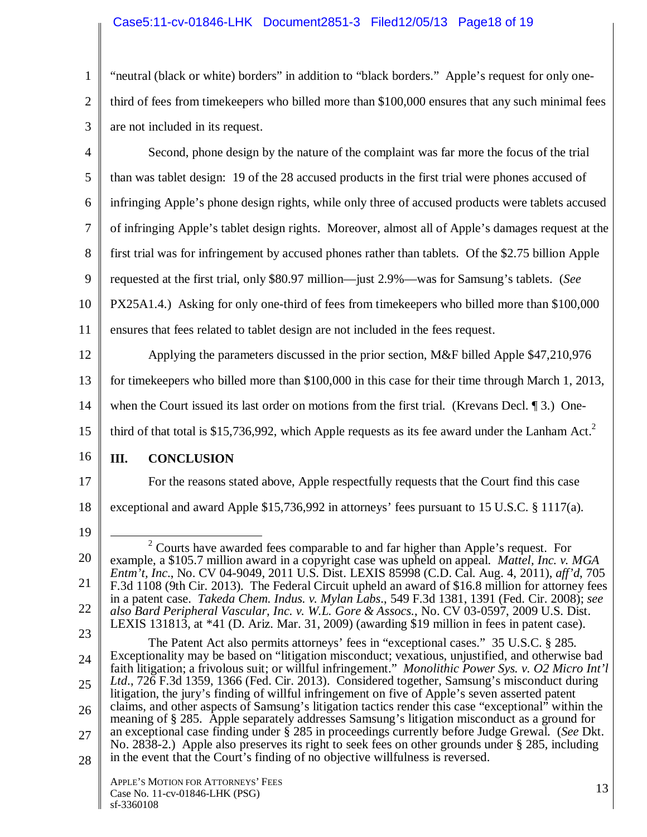## Case5:11-cv-01846-LHK Document2851-3 Filed12/05/13 Page18 of 19

1 2 3 "neutral (black or white) borders" in addition to "black borders." Apple's request for only onethird of fees from timekeepers who billed more than \$100,000 ensures that any such minimal fees are not included in its request.

4 5 6 7 8 9 10 11 12 13 14 15 16 17 18 19 20 21 22 Second, phone design by the nature of the complaint was far more the focus of the trial than was tablet design: 19 of the 28 accused products in the first trial were phones accused of infringing Apple's phone design rights, while only three of accused products were tablets accused of infringing Apple's tablet design rights. Moreover, almost all of Apple's damages request at the first trial was for infringement by accused phones rather than tablets. Of the \$2.75 billion Apple requested at the first trial, only \$80.97 million—just 2.9%—was for Samsung's tablets. (*See* PX25A1.4.) Asking for only one-third of fees from timekeepers who billed more than \$100,000 ensures that fees related to tablet design are not included in the fees request. Applying the parameters discussed in the prior section, M&F billed Apple \$47,210,976 for timekeepers who billed more than \$100,000 in this case for their time through March 1, 2013, when the Court issued its last order on motions from the first trial. (Krevans Decl. 13.) Onethird of that total is \$15,736,992, which Apple requests as its fee award under the Lanham Act.<sup>2</sup> **III. CONCLUSION**  For the reasons stated above, Apple respectfully requests that the Court find this case exceptional and award Apple \$15,736,992 in attorneys' fees pursuant to 15 U.S.C. § 1117(a). 2  $2^{\circ}$  Courts have awarded fees comparable to and far higher than Apple's request. For example, a \$105.7 million award in a copyright case was upheld on appeal. *Mattel, Inc. v. MGA Entm't, Inc*., No. CV 04-9049, 2011 U.S. Dist. LEXIS 85998 (C.D. Cal. Aug. 4, 2011), *aff'd*, 705 F.3d 1108 (9th Cir. 2013). The Federal Circuit upheld an award of \$16.8 million for attorney fees in a patent case. *Takeda Chem. Indus. v. Mylan Labs*., 549 F.3d 1381, 1391 (Fed. Cir. 2008); *see* 

23

*also Bard Peripheral Vascular, Inc. v. W.L. Gore & Assocs.*, No. CV 03-0597, 2009 U.S. Dist. LEXIS 131813, at \*41 (D. Ariz. Mar. 31, 2009) (awarding \$19 million in fees in patent case). The Patent Act also permits attorneys' fees in "exceptional cases." 35 U.S.C. § 285. Exceptionality may be based on "litigation misconduct; vexatious, unjustified, and otherwise bad

24 25 26 27 28 faith litigation; a frivolous suit; or willful infringement." *Monolithic Power Sys. v. O2 Micro Int'l Ltd*., 726 F.3d 1359, 1366 (Fed. Cir. 2013). Considered together, Samsung's misconduct during litigation, the jury's finding of willful infringement on five of Apple's seven asserted patent claims, and other aspects of Samsung's litigation tactics render this case "exceptional" within the meaning of § 285. Apple separately addresses Samsung's litigation misconduct as a ground for an exceptional case finding under § 285 in proceedings currently before Judge Grewal. (*See* Dkt. No. 2838-2.) Apple also preserves its right to seek fees on other grounds under § 285, including in the event that the Court's finding of no objective willfulness is reversed.